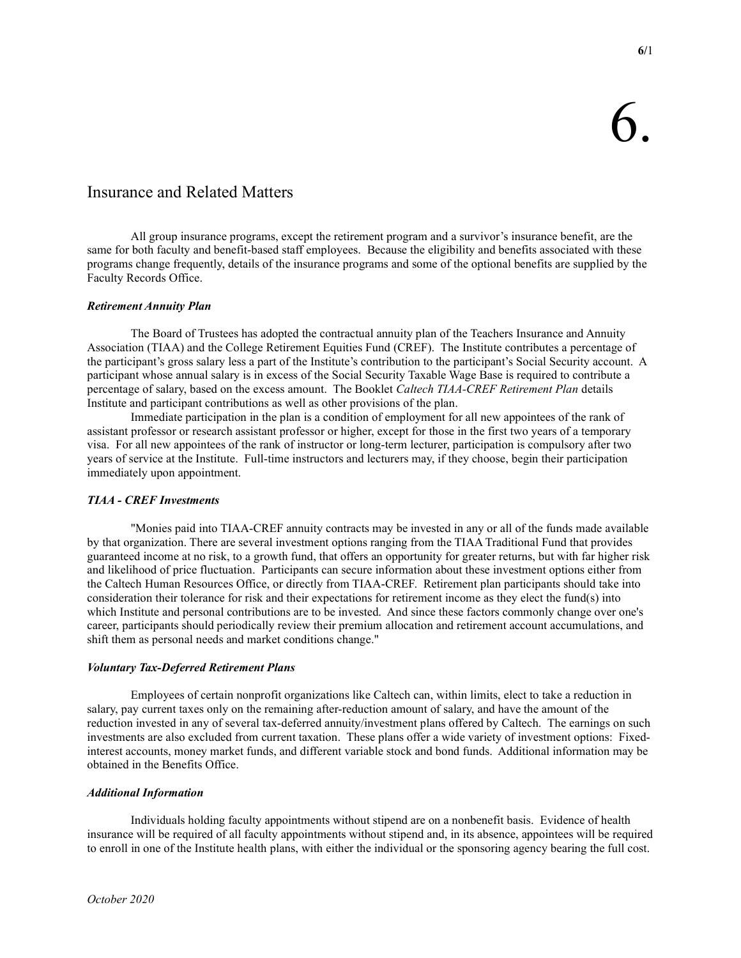# Insurance and Related Matters

 All group insurance programs, except the retirement program and a survivor's insurance benefit, are the same for both faculty and benefit-based staff employees. Because the eligibility and benefits associated with these programs change frequently, details of the insurance programs and some of the optional benefits are supplied by the Faculty Records Office.

## Retirement Annuity Plan

 The Board of Trustees has adopted the contractual annuity plan of the Teachers Insurance and Annuity Association (TIAA) and the College Retirement Equities Fund (CREF). The Institute contributes a percentage of the participant's gross salary less a part of the Institute's contribution to the participant's Social Security account. A participant whose annual salary is in excess of the Social Security Taxable Wage Base is required to contribute a percentage of salary, based on the excess amount. The Booklet Caltech TIAA-CREF Retirement Plan details Institute and participant contributions as well as other provisions of the plan.

 Immediate participation in the plan is a condition of employment for all new appointees of the rank of assistant professor or research assistant professor or higher, except for those in the first two years of a temporary visa. For all new appointees of the rank of instructor or long-term lecturer, participation is compulsory after two years of service at the Institute. Full-time instructors and lecturers may, if they choose, begin their participation immediately upon appointment.

#### TIAA - CREF Investments

 "Monies paid into TIAA-CREF annuity contracts may be invested in any or all of the funds made available by that organization. There are several investment options ranging from the TIAA Traditional Fund that provides guaranteed income at no risk, to a growth fund, that offers an opportunity for greater returns, but with far higher risk and likelihood of price fluctuation. Participants can secure information about these investment options either from the Caltech Human Resources Office, or directly from TIAA-CREF. Retirement plan participants should take into consideration their tolerance for risk and their expectations for retirement income as they elect the fund(s) into which Institute and personal contributions are to be invested. And since these factors commonly change over one's career, participants should periodically review their premium allocation and retirement account accumulations, and shift them as personal needs and market conditions change."

#### Voluntary Tax-Deferred Retirement Plans

 Employees of certain nonprofit organizations like Caltech can, within limits, elect to take a reduction in salary, pay current taxes only on the remaining after-reduction amount of salary, and have the amount of the reduction invested in any of several tax-deferred annuity/investment plans offered by Caltech. The earnings on such investments are also excluded from current taxation. These plans offer a wide variety of investment options: Fixedinterest accounts, money market funds, and different variable stock and bond funds. Additional information may be obtained in the Benefits Office.

### Additional Information

 Individuals holding faculty appointments without stipend are on a nonbenefit basis. Evidence of health insurance will be required of all faculty appointments without stipend and, in its absence, appointees will be required to enroll in one of the Institute health plans, with either the individual or the sponsoring agency bearing the full cost.